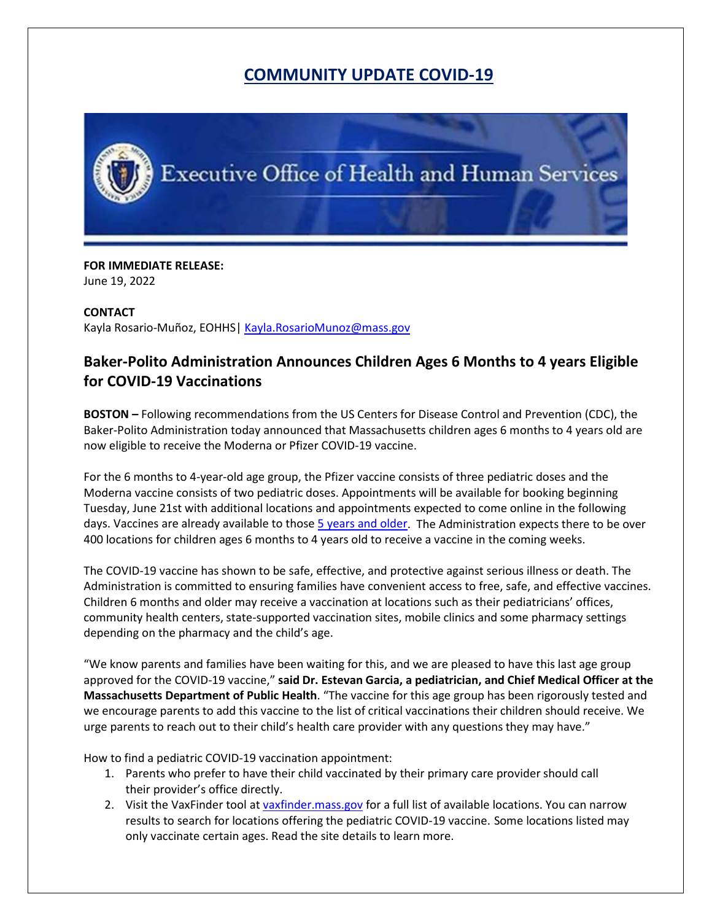## **COMMUNITY UPDATE COVID-19**



## **FOR IMMEDIATE RELEASE:**

June 19, 2022

## **CONTACT**

Kayla Rosario-Muñoz, EOHHS| [Kayla.RosarioMunoz@mass.gov](mailto:Kayla.RosarioMunoz@mass.gov)

## **Baker-Polito Administration Announces Children Ages 6 Months to 4 years Eligible for COVID-19 Vaccinations**

**BOSTON –** Following recommendations from the US Centers for Disease Control and Prevention (CDC), the Baker-Polito Administration today announced that Massachusetts children ages 6 months to 4 years old are now eligible to receive the Moderna or Pfizer COVID-19 vaccine.

For the 6 months to 4-year-old age group, the Pfizer vaccine consists of three pediatric doses and the Moderna vaccine consists of two pediatric doses. Appointments will be available for booking beginning Tuesday, June 21st with additional locations and appointments expected to come online in the following days. Vaccines are already available to those [5 years and older.](https://protect-us.mimecast.com/s/siZ6C5yVori7jrwcyQSXD?domain=mass.gov) The Administration expects there to be over 400 locations for children ages 6 months to 4 years old to receive a vaccine in the coming weeks.

The COVID-19 vaccine has shown to be safe, effective, and protective against serious illness or death. The Administration is committed to ensuring families have convenient access to free, safe, and effective vaccines. Children 6 months and older may receive a vaccination at locations such as their pediatricians' offices, community health centers, state-supported vaccination sites, mobile clinics and some pharmacy settings depending on the pharmacy and the child's age.

"We know parents and families have been waiting for this, and we are pleased to have this last age group approved for the COVID-19 vaccine," **said Dr. Estevan Garcia, a pediatrician, and Chief Medical Officer at the Massachusetts Department of Public Health**. "The vaccine for this age group has been rigorously tested and we encourage parents to add this vaccine to the list of critical vaccinations their children should receive. We urge parents to reach out to their child's health care provider with any questions they may have."

How to find a pediatric COVID-19 vaccination appointment:

- 1. Parents who prefer to have their child vaccinated by their primary care provider should call their provider's office directly.
- 2. Visit the VaxFinder tool at [vaxfinder.mass.gov](https://protect-us.mimecast.com/s/X8woC73YqwHKpBnhq1_jM?domain=vaxfinder.mass.gov/) for a full list of available locations. You can narrow results to search for locations offering the pediatric COVID-19 vaccine. Some locations listed may only vaccinate certain ages. Read the site details to learn more.